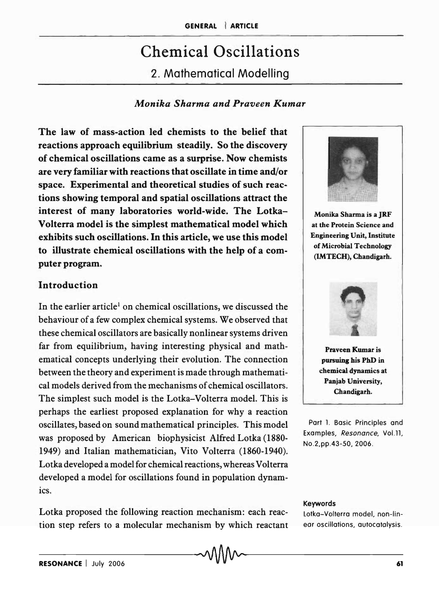# Chemical Oscillations 2. Mathematical Modelling

# *Monika Sharma and Praveen Kumar*

The law of mass-action led chemists to the belief that reactions approach equilibrium steadily. So the discovery of chemical oscillations came as a surprise. Now chemists are very familiar with reactions that oscillate in time and/or space. Experimental and theoretical studies of such reactions showing temporal and spatial oscillations attract the interest of many laboratories world-wide. The Lotka-Volterra model is the simplest mathematical model which exhibits such oscillations. In this article, we use this model to illustrate chemical oscillations with the help of a computer program.

## Introduction

In the earlier article<sup>1</sup> on chemical oscillations, we discussed the behaviour of a few complex chemical systems. We observed that these chemical oscillators are basically nonlinear systems driven far from equilibrium, having interesting physical and mathematical concepts underlying their evolution. The connection between the theory and experiment is made through mathematical models derived from the mechanisms of chemical oscillators. The simplest such model is the Lotka-Volterra model. This is perhaps the earliest proposed explanation for why a reaction oscillates, based on sound mathematical principles. This model was proposed by American biophysicist Alfred Lotka (1880- 1949) and Italian mathematician, Vito Volterra (1860-1940). Lotka developed a model for chemical reactions, whereas Volterra developed a model for oscillations found in population dynamics.

Lotka proposed the following reaction mechanism: each reaction step refers to a molecular mechanism by which reactant



Monika Sharma is a JRF at the Protein Science and Engineering Unit, Institute of Microbial Technology (1M TECH), Chandigarh.



Praveen Kumar is pursuing his PhD in chemical dynamics at Panjab University, Chandigarh.

Part 1. Basic Principles and Examples, Resonance, Vol.ll, No.2,pp.43-50, 2006.

#### Keywords

lotka-Volterra model, non-linear oscillations, autocatalysis.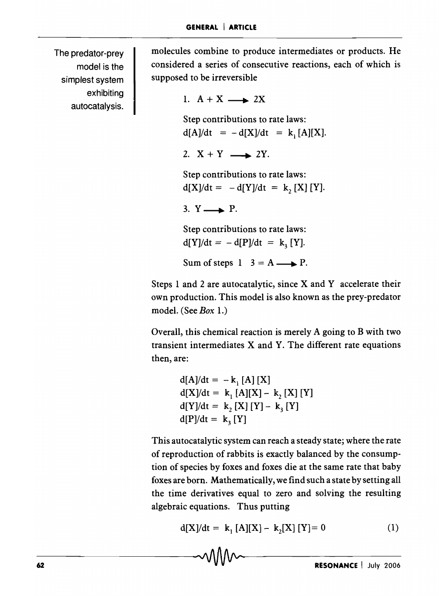The predator-prey model is the simplest system exhibiting autocatalysis.

molecules combine to produce intermediates or products. He considered a series of consecutive reactions, each of which is supposed to be irreversible

1.  $A + X \longrightarrow 2X$ 

Step contributions to rate laws:  $d[A]/dt = -d[X]/dt = k_1[A][X].$ 

2.  $X + Y \longrightarrow 2Y$ .

Step contributions to rate laws:  $d[X]/dt = -d[Y]/dt = k, [X][Y].$ 

 $3. Y \longrightarrow P$ .

Step contributions to rate laws:  $d[Y]/dt = - d[P]/dt = k_3 [Y].$ Sum of steps  $1 \quad 3 = A \longrightarrow P$ .

Steps 1 and 2 are autocatalytic, since X and Y accelerate their own production. This model is also known as the prey-predator model. (See *Box* 1.)

Overall, this chemical reaction is merely A going to B with two transient intermediates X and Y. The different rate equations then, are:

```
d[A]/dt = -k, [A] [X]
d[X]/dt = k_1 [A][X] - k_2 [X][Y]d[Y]/dt = k_2[X][Y] - k_3[Y]d[P]/dt = k_3 [Y]
```
This autocatalytic system can reach a steady state; where the rate of reproduction of rabbits is exactly balanced by the consumption of species by foxes and foxes die at the same rate that baby foxes are born. Mathematically, we find such a state by setting all the time derivatives equal to zero and solving the resulting algebraic equations. Thus putting

$$
d[X]/dt = k_1 [A][X] - k_2[X][Y] = 0
$$
 (1)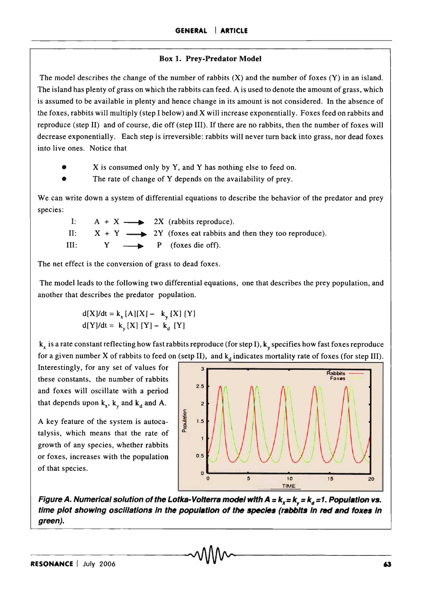#### Box 1. Prey-Predator Model

The model describes the change of the number of rabbits  $(X)$  and the number of foxes  $(Y)$  in an island. The island has plenty of grass on which the rabbits can feed. A is used to denote the amount of grass, which is assumed to be available in plenty and hence change in its amount is not considered. In the absence of the foxes, rabbits will multipJy (step I below) and X will increase exponentially. Foxes feed on rabbits and reproduce (step II) and of course, die off (step III). If there are no rabbits, then the number of foxes will decrease exponentially. Each step is irreversible: rabbits will never turn back into grass, nor dead foxes into live ones. Notice that

- $X$  is consumed only by Y, and Y has nothing else to feed on.
- The rate of change of Y depends on the availability of prey.

We can write down a system of differential equations to describe the behavior of the predator and prey species:<br>
I:  $A + X \longrightarrow 2X$  (rabbits reproduce). species:

|                                             | I: $A + X \longrightarrow 2X$ (rabbits reproduce).                |
|---------------------------------------------|-------------------------------------------------------------------|
|                                             | II: $X + Y = 2Y$ (foxes eat rabbits and then they too reproduce). |
| III: $Y \longrightarrow P$ (foxes die off). |                                                                   |
|                                             |                                                                   |

The net effect is the conversion of grass to dead foxes.

The model leads to the following two differential equations, one that describes the prey population, and another that describes the predator population.

$$
d[X]/dt = k_x [A][X] - k_y [X][Y]
$$

$$
d[Y]/dt = k_y [X][Y] - k_d [Y]
$$

 $k_x$  is a rate constant reflecting how fast rabbits reproduce (for step I),  $k_y$  specifies how fast foxes reproduce

Interestingly, for any set of values for these constants, the number of rabbits and foxes will oscillate with a period that depends upon  $k_x$ ,  $k_y$  and  $k_d$  and A.

A key feature of the system is autocatalysis, which means that the rate of growth of any species, whether rabbits or foxes, increases with the population of that species.



Figure A. Numerical solution of the Lotka-Volterra model with  $A = k_x = k_y = k_d = 1$ . Population vs. time plot showing oscillations in the population of the species (rabbits in red and foxes in green).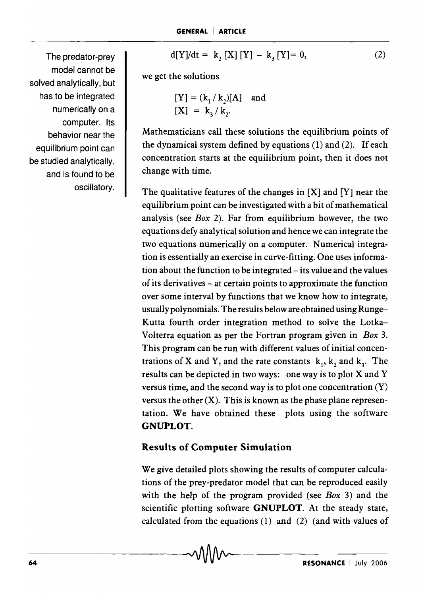The predator-prey model cannot be solved analytically, but has to be integrated numerically on a computer. Its behavior near the equilibrium point can be studied analytically, and is found to be oscillatory.

$$
d[Y]/dt = k_2 [X] [Y] - k_3 [Y] = 0,
$$
 (2)

we get the solutions

$$
[Y] = (k_1 / k_2)[A] \text{ and } [X] = k_3 / k_2.
$$

Mathematicians call these solutions the equilibrium points of the dynamical system defined by equations (1) and (2). If each concentration starts at the equilibrium point, then it does not change with time.

The qualitative features of the changes in [X] and [V] near the equilibrium point can be investigated with a bit of mathematical analysis (see *Box* 2). Far from equilibrium however, the two equations defy analytical solution and hence we can integrate the two equations numerically on a computer. Numerical integration is essentially an exercise in curve-fitting. One uses information about the function to be integrated – its value and the values of its derivatives - at certain points to approximate the function over some interval by functions that we know how to integrate, usually polynomials. The results below are obtained using Runge-Kutta fourth order integration method to solve the Lotka-Volterra equation as per the Fortran program given in *Box 3.*  This program can be run with different values of initial concentrations of X and Y, and the rate constants  $k_1$ ,  $k_2$  and  $k_3$ . The results can be depicted in two ways: one way is to plot X and Y versus time, and the second way is to plot one concentration  $(Y)$ versus the other  $(X)$ . This is known as the phase plane representation. We have obtained these plots using the software **GNUPLOT.** 

## **Results of Computer Simulation**

We give detailed plots showing the results of computer calculations of the prey-predator model that can be reproduced easily with the help of the program provided (see *Box* 3) and the scientific plotting software **GNUPLOT.** At the steady state, calculated from the equations (1) and (2) (and with values of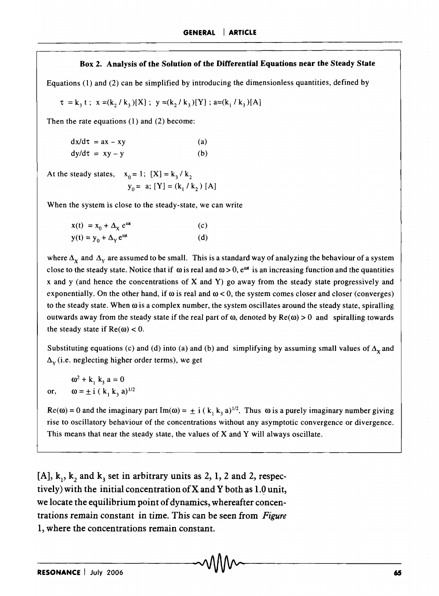#### Box 2. Analysis of the Solution of the Differential Equations near the Steady State

Equations (1) and (2) can be simplified by introducing the dimensionless quantities, defined by

$$
\tau = k_3 t
$$
;  $x = (k_2 / k_3)[X]$ ;  $y = (k_2 / k_3)[Y]$ ;  $a = (k_1 / k_3)[A]$ 

Then the rate equations (1) and (2) become:

$$
dx/d\tau = ax - xy
$$
 (a)  
 
$$
dy/d\tau = xy - y
$$
 (b)

At the steady states,  $x_0 = 1$ ;  $[X] = k_3 / k_2$  $y_0 = a$ ; [Y] = (k, /k<sub>2</sub>) [A]

When the system is close to the steady-state, we can write

$$
x(t) = x_0 + \Delta_X e^{\omega t}
$$
 (c)  

$$
y(t) = y_0 + \Delta_Y e^{\omega t}
$$
 (d)

where  $\Delta_x$  and  $\Delta_y$  are assumed to be small. This is a standard way of analyzing the behaviour of a system close to the steady state. Notice that if  $\omega$  is real and  $\omega > 0$ ,  $e^{\omega t}$  is an increasing function and the quantities x and y (and hence the concentrations of X and Y) go away from the steady state progressively and exponentially. On the other hand, if  $\omega$  is real and  $\omega < 0$ , the system comes closer and closer (converges) to the steady state. When  $\omega$  is a complex number, the system oscillates around the steady state, spiralling outwards away from the steady state if the real part of  $\omega$ , denoted by  $Re(\omega) > 0$  and spiralling towards the steady state if  $\text{Re}(\omega) < 0$ .

Substituting equations (c) and (d) into (a) and (b) and simplifying by assuming small values of  $\Delta_{\rm x}$  and  $\Delta_{\rm v}$  (i.e. neglecting higher order terms), we get

$$
\omega^2 + k_1 k_3 a = 0
$$
  
or, 
$$
\omega = \pm i (k_1 k_3 a)^{1/2}
$$

 $Re(\omega) = 0$  and the imaginary part Im( $\omega$ ) =  $\pm i$  ( $k_1 k_3 a$ )<sup>1/2</sup>. Thus  $\omega$  is a purely imaginary number giving rise to oscillatory behaviour of the concentrations without any asymptotic convergence or divergence. This means that near the steady state, the values of X and Y will always oscillate.

 $\sim$ 

 $[A], k_1, k_2$  and  $k_3$  set in arbitrary units as 2, 1, 2 and 2, respectively) with the initial concentration of X and Y both as l.Q unit, we locate the equilibrium point of dynamics, whereafter concentrations remain constant in time. This can be seen from *Figure*  1, where the concentrations remain constant.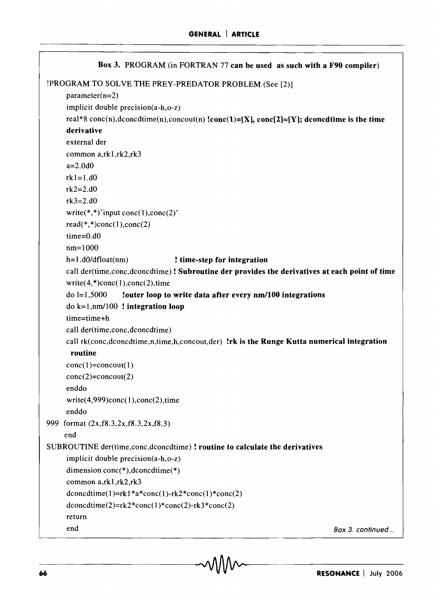| Box 3. PROGRAM (in FORTRAN 77 can be used as such with a F90 compiler)                                |  |  |  |
|-------------------------------------------------------------------------------------------------------|--|--|--|
| !PROGRAM TO SOLVE THE PREY-PREDATOR PROBLEM (See [2)]                                                 |  |  |  |
| $parameter(n=2)$                                                                                      |  |  |  |
| implicit double precision(a-h,o-z)                                                                    |  |  |  |
| real*8 conc(n),dconcdtime(n),concout(n) $lconc(1)=[X]$ , conc[2]=[Y]; dconcdtime is the time          |  |  |  |
| derivative                                                                                            |  |  |  |
| external der                                                                                          |  |  |  |
| common a,rk1,rk2,rk3                                                                                  |  |  |  |
| $a=2.0d0$                                                                                             |  |  |  |
| $rk 1=1.d0$                                                                                           |  |  |  |
| $rk2 = 2.d0$                                                                                          |  |  |  |
| $rk3 = 2.d0$                                                                                          |  |  |  |
| write $(*,*)'$ input conc $(1)$ ,conc $(2)'$                                                          |  |  |  |
| $read(*,*)cone(1),conc(2)$                                                                            |  |  |  |
| $time=0.00$                                                                                           |  |  |  |
| $nm = 1000$                                                                                           |  |  |  |
| $h=1.d0/df$ loat(nm)<br>! time-step for integration                                                   |  |  |  |
| call der(time, conc, dconcdtime) ! Subroutine der provides the derivatives at each point of time      |  |  |  |
| $write(4,*)conc(1), conc(2), time$                                                                    |  |  |  |
| do $l=1,5000$<br>louter loop to write data after every nm/100 integrations                            |  |  |  |
| do $k=1, nm/100$ ! integration loop                                                                   |  |  |  |
| $time = time + h$                                                                                     |  |  |  |
| call der(time,conc,dconcdtime)                                                                        |  |  |  |
| call rk(conc,dconcdtime,n,time,h,concout,der) !rk is the Runge Kutta numerical integration<br>routine |  |  |  |
| $conc(1)=concout(1)$                                                                                  |  |  |  |
| $conc(2)=concout(2)$                                                                                  |  |  |  |
| enddo                                                                                                 |  |  |  |
| write(4,999)conc(1), conc(2), time                                                                    |  |  |  |
| enddo                                                                                                 |  |  |  |
| 999 format (2x, f8.3, 2x, f8.3, 2x, f8.3)                                                             |  |  |  |
| end                                                                                                   |  |  |  |
| SUBROUTINE der(time,conc,dconcdtime)! routine to calculate the derivatives                            |  |  |  |
| implicit double precision $(a-h,o-z)$                                                                 |  |  |  |
| dimension $conc(*)$ , dconcdtime(*)                                                                   |  |  |  |
| common a,rk1,rk2,rk3                                                                                  |  |  |  |
| $d$ concdtime(1)=rk1*a*conc(1)-rk2*conc(1)*conc(2)                                                    |  |  |  |
| $d$ conc $d$ time $(2)$ =rk $2$ *conc $(1)$ *conc $(2)$ -rk $3$ *conc $(2)$                           |  |  |  |
| return                                                                                                |  |  |  |
| end<br>Box 3. continued                                                                               |  |  |  |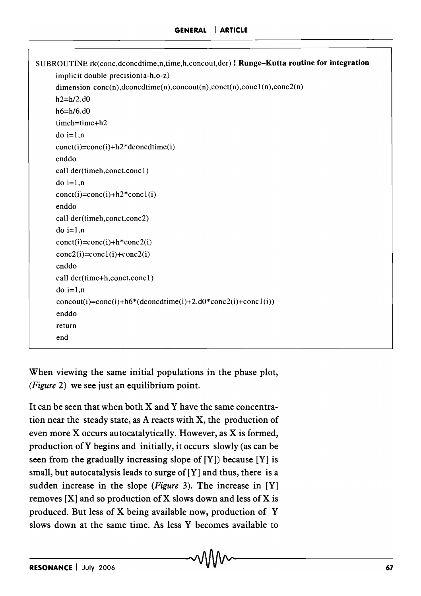SUBROUTINE rk(conc,dconcdtime,n,time,h,concout,der) ! Runge-Kutta routine for integration implicit double precision(a-h,o-z) dimension  $conc(n)$ , dconcdtime(n),concout(n),conct(n),conc $1(n)$ ,conc $2(n)$  $h2=h/2.d0$ h6=h/6.dO timeh=time+h2  $do$  i= $l.n$ conct(i)=conc(i)+h2\*dconcdtime(i) enddo call der(timeh,conct,conc 1)  $do$  i= $1.n$  $conct(i)=conc(i)+h2*conc1(i)$ enddo call der(timeh,conct,conc2) do  $i=1,n$  $conct(i)=conc(i)+h*conc2(i)$  $cone2(i)=cone1(i)+cone2(i)$ enddo call der(time+h,conct,conc1) do  $i=1,n$  $concut(i)=cone(i)+h6*(dconcdtime(i)+2.d0*conc2(i)+conc1(i))$ enddo return end

When viewing the same initial populations in the phase plot, *(Figure* 2) we see just an equilibrium point.

It can be seen that when both X and Y have the same concentration near the steady state, as A reacts with X, the production of even more X occurs autocatalytically. However, as X is formed, production ofY begins and initially, it occurs slowly (as can be seen from the gradually increasing slope of [V]) because [V] is small, but autocatalysis leads to surge of [V] and thus, there is a sudden increase in the slope *(Figure* 3). The increase in [V] removes  $[X]$  and so production of X slows down and less of X is produced. But less of X being available now, production of Y slows down at the same time. As less Y becomes available to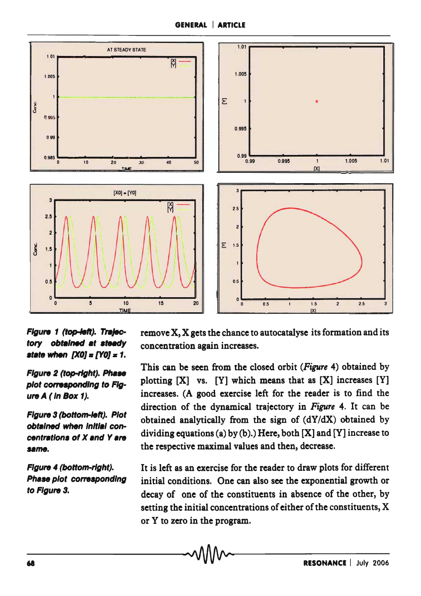



Figure 1 (top-left). Trajec*tory .obtained at steady .*<br>state.when [XO] = [YO] = 1.

Figure 2 (top-right). Phase plot correapondlng to FigureA (In Box 1).

Figure 3 (bottom-left). Plot obtained when initial concentrations of X and Y are same.

Figure 4 (bottom-right). Phase plot corresponding to Figure 3.

remove X, X gets the chance to autocatalyse its formation and its concentration again increases.

This can be seen from the closed orbit *(Figure* 4) obtained by plotting  $[X]$  vs.  $[Y]$  which means that as  $[X]$  increases  $[Y]$ increases. (A good exercise left for the reader is to find the direction of the dynamical trajectory in *Figure* 4. It can be obtained analytically from the sign of  $(dY/dX)$  obtained by dividing equations (a) by (b).) Here, both  $[X]$  and  $[Y]$  increase to the respective maximal values and then, decrease.

It is left as an exercise for the reader to draw plots for different initial conditions. One can also see the exponential growth or decay of one of the constituents in absence of the other, by setting the initial concentrations of either of the constituents, X or Y to zero in the program. or Y to zero in the program.<br>
WWWWWARESONANCE | July 2006